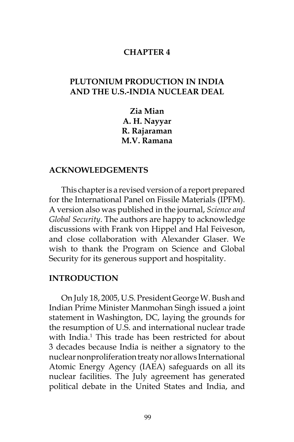#### **CHAPTER 4**

### **PLUTONIUM PRODUCTION IN INDIA AND THE U.S.-INDIA NUCLEAR DEAL**

**Zia Mian A. H. Nayyar R. Rajaraman M.V. Ramana**

#### **ACKNOWLEDGEMENTS**

This chapter is a revised version of a report prepared for the International Panel on Fissile Materials (IPFM). A version also was published in the journal, *Science and Global Security*. The authors are happy to acknowledge discussions with Frank von Hippel and Hal Feiveson, and close collaboration with Alexander Glaser. We wish to thank the Program on Science and Global Security for its generous support and hospitality.

#### **INTRODUCTION**

On July 18, 2005, U.S. President George W. Bush and Indian Prime Minister Manmohan Singh issued a joint statement in Washington, DC, laying the grounds for the resumption of U.S. and international nuclear trade with India.<sup>1</sup> This trade has been restricted for about 3 decades because India is neither a signatory to the nuclear nonproliferation treaty nor allows International Atomic Energy Agency (IAEA) safeguards on all its nuclear facilities. The July agreement has generated political debate in the United States and India, and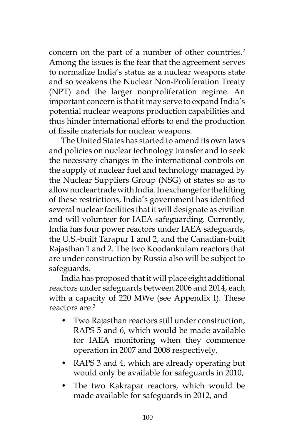concern on the part of a number of other countries.<sup>2</sup> Among the issues is the fear that the agreement serves to normalize India's status as a nuclear weapons state and so weakens the Nuclear Non-Proliferation Treaty (NPT) and the larger nonproliferation regime. An important concern is that it may serve to expand India's potential nuclear weapons production capabilities and thus hinder international efforts to end the production of fissile materials for nuclear weapons.

The United States has started to amend its own laws and policies on nuclear technology transfer and to seek the necessary changes in the international controls on the supply of nuclear fuel and technology managed by the Nuclear Suppliers Group (NSG) of states so as to allow nuclear trade with India. In exchange for the lifting of these restrictions, India's government has identified several nuclear facilities that it will designate as civilian and will volunteer for IAEA safeguarding. Currently, India has four power reactors under IAEA safeguards, the U.S.-built Tarapur 1 and 2, and the Canadian-built Rajasthan 1 and 2. The two Koodankulam reactors that are under construction by Russia also will be subject to safeguards.

India has proposed that it will place eight additional reactors under safeguards between 2006 and 2014, each with a capacity of 220 MWe (see Appendix I). These reactors are:<sup>3</sup>

- Two Rajasthan reactors still under construction, RAPS 5 and 6, which would be made available for IAEA monitoring when they commence operation in 2007 and 2008 respectively,
- RAPS 3 and 4, which are already operating but would only be available for safeguards in 2010,
- The two Kakrapar reactors, which would be made available for safeguards in 2012, and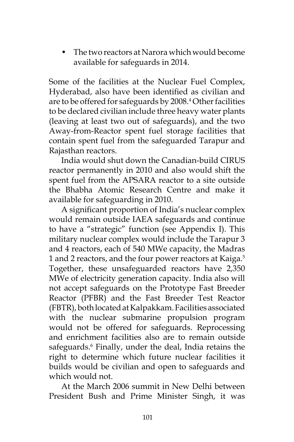• The two reactors at Narora which would become available for safeguards in 2014.

Some of the facilities at the Nuclear Fuel Complex, Hyderabad, also have been identified as civilian and are to be offered for safeguards by 2008.4 Other facilities to be declared civilian include three heavy water plants (leaving at least two out of safeguards), and the two Away-from-Reactor spent fuel storage facilities that contain spent fuel from the safeguarded Tarapur and Rajasthan reactors.

India would shut down the Canadian-build CIRUS reactor permanently in 2010 and also would shift the spent fuel from the APSARA reactor to a site outside the Bhabha Atomic Research Centre and make it available for safeguarding in 2010.

A significant proportion of India's nuclear complex would remain outside IAEA safeguards and continue to have a "strategic" function (see Appendix I). This military nuclear complex would include the Tarapur 3 and 4 reactors, each of 540 MWe capacity, the Madras 1 and 2 reactors, and the four power reactors at Kaiga.<sup>5</sup> Together, these unsafeguarded reactors have 2,350 MWe of electricity generation capacity. India also will not accept safeguards on the Prototype Fast Breeder Reactor (PFBR) and the Fast Breeder Test Reactor (FBTR), both located at Kalpakkam. Facilities associated with the nuclear submarine propulsion program would not be offered for safeguards. Reprocessing and enrichment facilities also are to remain outside safeguards.<sup>6</sup> Finally, under the deal, India retains the right to determine which future nuclear facilities it builds would be civilian and open to safeguards and which would not.

At the March 2006 summit in New Delhi between President Bush and Prime Minister Singh, it was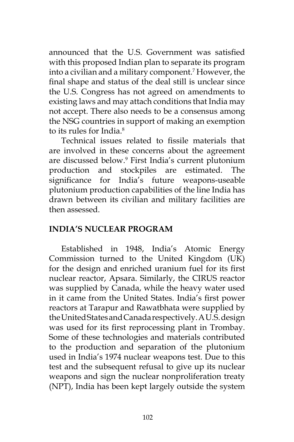announced that the U.S. Government was satisfied with this proposed Indian plan to separate its program into a civilian and a military component.7 However, the final shape and status of the deal still is unclear since the U.S. Congress has not agreed on amendments to existing laws and may attach conditions that India may not accept. There also needs to be a consensus among the NSG countries in support of making an exemption to its rules for India  $8$ 

Technical issues related to fissile materials that are involved in these concerns about the agreement are discussed below.9 First India's current plutonium production and stockpiles are estimated. The significance for India's future weapons-useable plutonium production capabilities of the line India has drawn between its civilian and military facilities are then assessed.

### **INDIA'S NUCLEAR PROGRAM**

Established in 1948, India's Atomic Energy Commission turned to the United Kingdom (UK) for the design and enriched uranium fuel for its first nuclear reactor, Apsara. Similarly, the CIRUS reactor was supplied by Canada, while the heavy water used in it came from the United States. India's first power reactors at Tarapur and Rawatbhata were supplied by the United States and Canada respectively. A U.S. design was used for its first reprocessing plant in Trombay. Some of these technologies and materials contributed to the production and separation of the plutonium used in India's 1974 nuclear weapons test. Due to this test and the subsequent refusal to give up its nuclear weapons and sign the nuclear nonproliferation treaty (NPT), India has been kept largely outside the system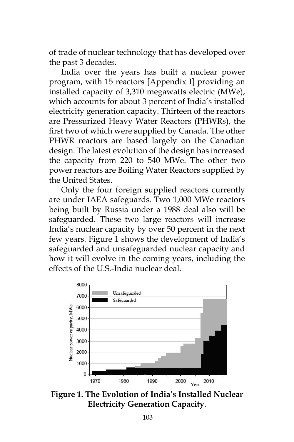of trade of nuclear technology that has developed over the past 3 decades.

India over the years has built a nuclear power program, with 15 reactors [Appendix I] providing an installed capacity of 3,310 megawatts electric (MWe), which accounts for about 3 percent of India's installed electricity generation capacity. Thirteen of the reactors are Pressurized Heavy Water Reactors (PHWRs), the first two of which were supplied by Canada. The other PHWR reactors are based largely on the Canadian design. The latest evolution of the design has increased the capacity from 220 to 540 MWe. The other two power reactors are Boiling Water Reactors supplied by the United States.

Only the four foreign supplied reactors currently are under IAEA safeguards. Two 1,000 MWe reactors being built by Russia under a 1988 deal also will be safeguarded. These two large reactors will increase India's nuclear capacity by over 50 percent in the next few years. Figure 1 shows the development of India's safeguarded and unsafeguarded nuclear capacity and how it will evolve in the coming years, including the effects of the U.S.-India nuclear deal.



**Figure 1. The Evolution of India's Installed Nuclear Electricity Generation Capacity**.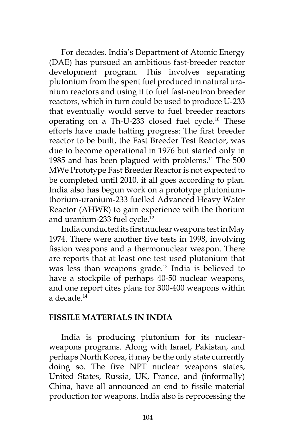For decades, India's Department of Atomic Energy (DAE) has pursued an ambitious fast-breeder reactor development program. This involves separating plutonium from the spent fuel produced in natural uranium reactors and using it to fuel fast-neutron breeder reactors, which in turn could be used to produce U-233 that eventually would serve to fuel breeder reactors operating on a Th-U-233 closed fuel cycle.10 These efforts have made halting progress: The first breeder reactor to be built, the Fast Breeder Test Reactor, was due to become operational in 1976 but started only in 1985 and has been plagued with problems. $11$  The 500 MWe Prototype Fast Breeder Reactor is not expected to be completed until 2010, if all goes according to plan. India also has begun work on a prototype plutoniumthorium-uranium-233 fuelled Advanced Heavy Water Reactor (AHWR) to gain experience with the thorium and uranium-233 fuel cycle.<sup>12</sup>

India conducted its first nuclear weapons test in May 1974. There were another five tests in 1998, involving fission weapons and a thermonuclear weapon. There are reports that at least one test used plutonium that was less than weapons grade.<sup>13</sup> India is believed to have a stockpile of perhaps 40-50 nuclear weapons, and one report cites plans for 300-400 weapons within a decade.14

### **FISSILE MATERIALS IN INDIA**

India is producing plutonium for its nuclearweapons programs. Along with Israel, Pakistan, and perhaps North Korea, it may be the only state currently doing so. The five NPT nuclear weapons states, United States, Russia, UK, France, and (informally) China, have all announced an end to fissile material production for weapons. India also is reprocessing the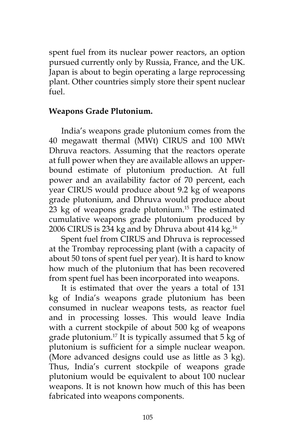spent fuel from its nuclear power reactors, an option pursued currently only by Russia, France, and the UK. Japan is about to begin operating a large reprocessing plant. Other countries simply store their spent nuclear  $f_{11}$ el

### **Weapons Grade Plutonium.**

India's weapons grade plutonium comes from the 40 megawatt thermal (MWt) CIRUS and 100 MWt Dhruva reactors. Assuming that the reactors operate at full power when they are available allows an upperbound estimate of plutonium production. At full power and an availability factor of 70 percent, each year CIRUS would produce about 9.2 kg of weapons grade plutonium, and Dhruva would produce about 23 kg of weapons grade plutonium.<sup>15</sup> The estimated cumulative weapons grade plutonium produced by 2006 CIRUS is 234 kg and by Dhruva about 414 kg.16

Spent fuel from CIRUS and Dhruva is reprocessed at the Trombay reprocessing plant (with a capacity of about 50 tons of spent fuel per year). It is hard to know how much of the plutonium that has been recovered from spent fuel has been incorporated into weapons.

It is estimated that over the years a total of 131 kg of India's weapons grade plutonium has been consumed in nuclear weapons tests, as reactor fuel and in processing losses. This would leave India with a current stockpile of about 500 kg of weapons grade plutonium.17 It is typically assumed that 5 kg of plutonium is sufficient for a simple nuclear weapon. (More advanced designs could use as little as 3 kg). Thus, India's current stockpile of weapons grade plutonium would be equivalent to about 100 nuclear weapons. It is not known how much of this has been fabricated into weapons components.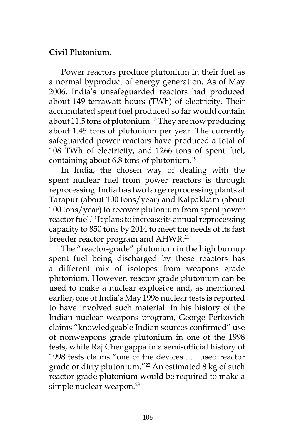## **Civil Plutonium.**

Power reactors produce plutonium in their fuel as a normal byproduct of energy generation. As of May 2006, India's unsafeguarded reactors had produced about 149 terrawatt hours (TWh) of electricity. Their accumulated spent fuel produced so far would contain about 11.5 tons of plutonium.<sup>18</sup> They are now producing about 1.45 tons of plutonium per year. The currently safeguarded power reactors have produced a total of 108 TWh of electricity, and 1266 tons of spent fuel, containing about 6.8 tons of plutonium.<sup>19</sup>

In India, the chosen way of dealing with the spent nuclear fuel from power reactors is through reprocessing. India has two large reprocessing plants at Tarapur (about 100 tons/year) and Kalpakkam (about 100 tons/year) to recover plutonium from spent power reactor fuel.<sup>20</sup> It plans to increase its annual reprocessing capacity to 850 tons by 2014 to meet the needs of its fast breeder reactor program and AHWR.<sup>21</sup>

The "reactor-grade" plutonium in the high burnup spent fuel being discharged by these reactors has a different mix of isotopes from weapons grade plutonium. However, reactor grade plutonium can be used to make a nuclear explosive and, as mentioned earlier, one of India's May 1998 nuclear tests is reported to have involved such material. In his history of the Indian nuclear weapons program, George Perkovich claims "knowledgeable Indian sources confirmed" use of nonweapons grade plutonium in one of the 1998 tests, while Raj Chengappa in a semi-official history of 1998 tests claims "one of the devices . . . used reactor grade or dirty plutonium."<sup>22</sup> An estimated 8 kg of such reactor grade plutonium would be required to make a simple nuclear weapon.<sup>23</sup>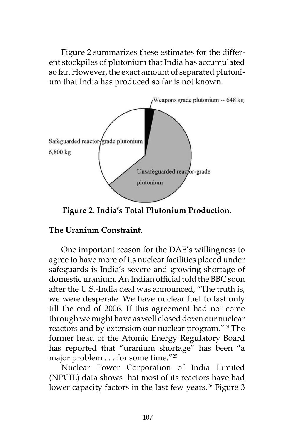Figure 2 summarizes these estimates for the different stockpiles of plutonium that India has accumulated so far. However, the exact amount of separated plutonium that India has produced so far is not known.



**Figure 2. India's Total Plutonium Production**.

## **The Uranium Constraint.**

One important reason for the DAE's willingness to agree to have more of its nuclear facilities placed under safeguards is India's severe and growing shortage of domestic uranium. An Indian official told the BBC soon after the U.S.-India deal was announced, "The truth is, we were desperate. We have nuclear fuel to last only till the end of 2006. If this agreement had not come through we might have as well closed down our nuclear reactors and by extension our nuclear program."<sup>24</sup> The former head of the Atomic Energy Regulatory Board has reported that "uranium shortage" has been "a major problem . . . for some time."25

Nuclear Power Corporation of India Limited (NPCIL) data shows that most of its reactors have had lower capacity factors in the last few years.<sup>26</sup> Figure 3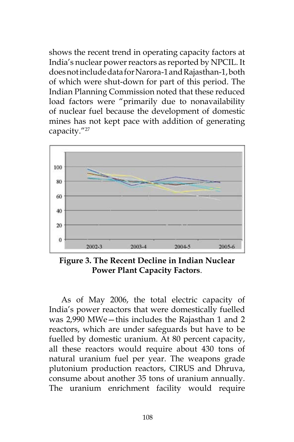shows the recent trend in operating capacity factors at India's nuclear power reactors as reported by NPCIL. It does not include data for Narora-1 and Rajasthan-1, both of which were shut-down for part of this period. The Indian Planning Commission noted that these reduced load factors were "primarily due to nonavailability of nuclear fuel because the development of domestic mines has not kept pace with addition of generating capacity."<sup>27</sup>



**Figure 3. The Recent Decline in Indian Nuclear Power Plant Capacity Factors**.

As of May 2006, the total electric capacity of India's power reactors that were domestically fuelled was 2,990 MWe—this includes the Rajasthan 1 and 2 reactors, which are under safeguards but have to be fuelled by domestic uranium. At 80 percent capacity, all these reactors would require about 430 tons of natural uranium fuel per year. The weapons grade plutonium production reactors, CIRUS and Dhruva, consume about another 35 tons of uranium annually. The uranium enrichment facility would require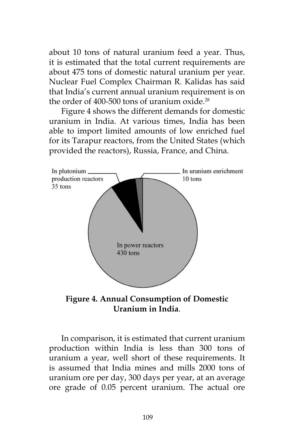about 10 tons of natural uranium feed a year. Thus, it is estimated that the total current requirements are about 475 tons of domestic natural uranium per year. Nuclear Fuel Complex Chairman R. Kalidas has said that India's current annual uranium requirement is on the order of 400-500 tons of uranium oxide.<sup>28</sup>

Figure 4 shows the different demands for domestic uranium in India. At various times, India has been able to import limited amounts of low enriched fuel for its Tarapur reactors, from the United States (which provided the reactors), Russia, France, and China.



**Figure 4. Annual Consumption of Domestic Uranium in India**.

In comparison, it is estimated that current uranium production within India is less than 300 tons of uranium a year, well short of these requirements. It is assumed that India mines and mills 2000 tons of uranium ore per day, 300 days per year, at an average ore grade of 0.05 percent uranium. The actual ore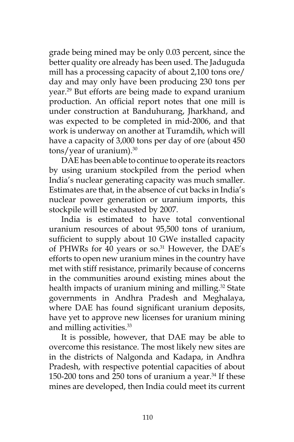grade being mined may be only 0.03 percent, since the better quality ore already has been used. The Jaduguda mill has a processing capacity of about 2,100 tons ore/ day and may only have been producing 230 tons per year.<sup>29</sup> But efforts are being made to expand uranium production. An official report notes that one mill is under construction at Banduhurang, Jharkhand, and was expected to be completed in mid-2006, and that work is underway on another at Turamdih, which will have a capacity of 3,000 tons per day of ore (about 450 tons/year of uranium).30

DAE has been able to continue to operate its reactors by using uranium stockpiled from the period when India's nuclear generating capacity was much smaller. Estimates are that, in the absence of cut backs in India's nuclear power generation or uranium imports, this stockpile will be exhausted by 2007.

India is estimated to have total conventional uranium resources of about 95,500 tons of uranium, sufficient to supply about 10 GWe installed capacity of PHWRs for 40 years or so.<sup>31</sup> However, the DAE's efforts to open new uranium mines in the country have met with stiff resistance, primarily because of concerns in the communities around existing mines about the health impacts of uranium mining and milling.<sup>32</sup> State governments in Andhra Pradesh and Meghalaya, where DAE has found significant uranium deposits, have yet to approve new licenses for uranium mining and milling activities.<sup>33</sup>

It is possible, however, that DAE may be able to overcome this resistance. The most likely new sites are in the districts of Nalgonda and Kadapa, in Andhra Pradesh, with respective potential capacities of about 150-200 tons and 250 tons of uranium a year.<sup>34</sup> If these mines are developed, then India could meet its current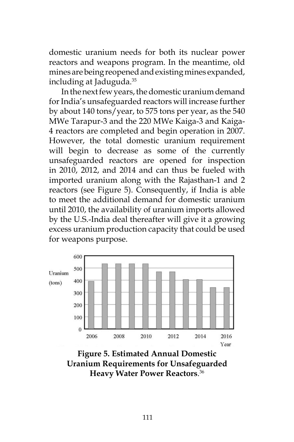domestic uranium needs for both its nuclear power reactors and weapons program. In the meantime, old mines are being reopened and existing mines expanded, including at Jaduguda.35

In the next few years, the domestic uranium demand for India's unsafeguarded reactors will increase further by about 140 tons/year, to 575 tons per year, as the 540 MWe Tarapur-3 and the 220 MWe Kaiga-3 and Kaiga-4 reactors are completed and begin operation in 2007. However, the total domestic uranium requirement will begin to decrease as some of the currently unsafeguarded reactors are opened for inspection in 2010, 2012, and 2014 and can thus be fueled with imported uranium along with the Rajasthan-1 and 2 reactors (see Figure 5). Consequently, if India is able to meet the additional demand for domestic uranium until 2010, the availability of uranium imports allowed by the U.S.-India deal thereafter will give it a growing excess uranium production capacity that could be used for weapons purpose.



**Figure 5. Estimated Annual Domestic Uranium Requirements for Unsafeguarded Heavy Water Power Reactors**. 36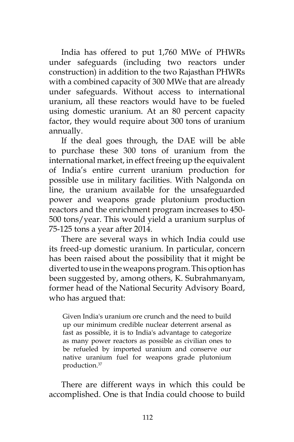India has offered to put 1,760 MWe of PHWRs under safeguards (including two reactors under construction) in addition to the two Rajasthan PHWRs with a combined capacity of 300 MWe that are already under safeguards. Without access to international uranium, all these reactors would have to be fueled using domestic uranium. At an 80 percent capacity factor, they would require about 300 tons of uranium annually.

If the deal goes through, the DAE will be able to purchase these 300 tons of uranium from the international market, in effect freeing up the equivalent of India's entire current uranium production for possible use in military facilities. With Nalgonda on line, the uranium available for the unsafeguarded power and weapons grade plutonium production reactors and the enrichment program increases to 450- 500 tons/year. This would yield a uranium surplus of 75-125 tons a year after 2014.

There are several ways in which India could use its freed-up domestic uranium. In particular, concern has been raised about the possibility that it might be diverted to use in the weapons program. This option has been suggested by, among others, K. Subrahmanyam, former head of the National Security Advisory Board, who has argued that:

Given India's uranium ore crunch and the need to build up our minimum credible nuclear deterrent arsenal as fast as possible, it is to India's advantage to categorize as many power reactors as possible as civilian ones to be refueled by imported uranium and conserve our native uranium fuel for weapons grade plutonium production.37

There are different ways in which this could be accomplished. One is that India could choose to build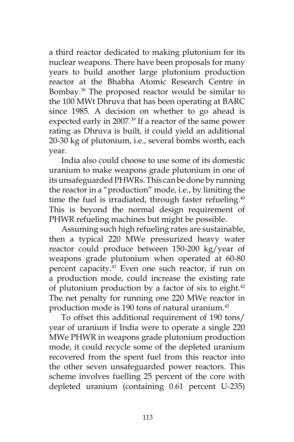a third reactor dedicated to making plutonium for its nuclear weapons. There have been proposals for many years to build another large plutonium production reactor at the Bhabha Atomic Research Centre in Bombay.38 The proposed reactor would be similar to the 100 MWt Dhruva that has been operating at BARC since 1985. A decision on whether to go ahead is expected early in 2007.<sup>39</sup> If a reactor of the same power rating as Dhruva is built, it could yield an additional 20-30 kg of plutonium, i.e., several bombs worth, each year.

India also could choose to use some of its domestic uranium to make weapons grade plutonium in one of its unsafeguarded PHWRs. This can be done by running the reactor in a "production" mode, i.e., by limiting the time the fuel is irradiated, through faster refueling. $40$ This is beyond the normal design requirement of PHWR refueling machines but might be possible.

Assuming such high refueling rates are sustainable, then a typical 220 MWe pressurized heavy water reactor could produce between 150-200 kg/year of weapons grade plutonium when operated at 60-80 percent capacity.<sup>41</sup> Even one such reactor, if run on a production mode, could increase the existing rate of plutonium production by a factor of six to eight.<sup>42</sup> The net penalty for running one 220 MWe reactor in production mode is 190 tons of natural uranium.<sup>43</sup>

To offset this additional requirement of 190 tons/ year of uranium if India were to operate a single 220 MWe PHWR in weapons grade plutonium production mode, it could recycle some of the depleted uranium recovered from the spent fuel from this reactor into the other seven unsafeguarded power reactors. This scheme involves fuelling 25 percent of the core with depleted uranium (containing 0.61 percent U-235)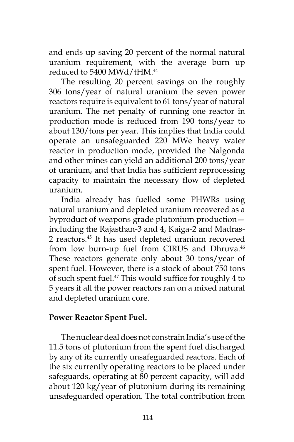and ends up saving 20 percent of the normal natural uranium requirement, with the average burn up reduced to 5400 MWd/tHM.<sup>44</sup>

The resulting 20 percent savings on the roughly 306 tons/year of natural uranium the seven power reactors require is equivalent to 61 tons/year of natural uranium. The net penalty of running one reactor in production mode is reduced from 190 tons/year to about 130/tons per year. This implies that India could operate an unsafeguarded 220 MWe heavy water reactor in production mode, provided the Nalgonda and other mines can yield an additional 200 tons/year of uranium, and that India has sufficient reprocessing capacity to maintain the necessary flow of depleted uranium.

India already has fuelled some PHWRs using natural uranium and depleted uranium recovered as a byproduct of weapons grade plutonium production including the Rajasthan-3 and 4, Kaiga-2 and Madras-2 reactors.45 It has used depleted uranium recovered from low burn-up fuel from CIRUS and Dhruva.<sup>46</sup> These reactors generate only about 30 tons/year of spent fuel. However, there is a stock of about 750 tons of such spent fuel.47 This would suffice for roughly 4 to 5 years if all the power reactors ran on a mixed natural and depleted uranium core.

### **Power Reactor Spent Fuel.**

The nuclear deal does not constrain India's use of the 11.5 tons of plutonium from the spent fuel discharged by any of its currently unsafeguarded reactors. Each of the six currently operating reactors to be placed under safeguards, operating at 80 percent capacity, will add about 120 kg/year of plutonium during its remaining unsafeguarded operation. The total contribution from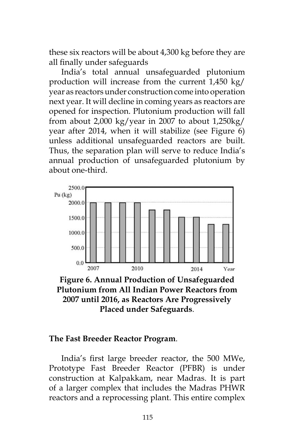these six reactors will be about 4,300 kg before they are all finally under safeguards

India's total annual unsafeguarded plutonium production will increase from the current 1,450 kg/ year as reactors under construction come into operation next year. It will decline in coming years as reactors are opened for inspection. Plutonium production will fall from about 2,000 kg/year in 2007 to about 1,250kg/ year after 2014, when it will stabilize (see Figure 6) unless additional unsafeguarded reactors are built. Thus, the separation plan will serve to reduce India's annual production of unsafeguarded plutonium by about one-third.



**Figure 6. Annual Production of Unsafeguarded Plutonium from All Indian Power Reactors from 2007 until 2016, as Reactors Are Progressively Placed under Safeguards**.

#### **The Fast Breeder Reactor Program**.

India's first large breeder reactor, the 500 MWe, Prototype Fast Breeder Reactor (PFBR) is under construction at Kalpakkam, near Madras. It is part of a larger complex that includes the Madras PHWR reactors and a reprocessing plant. This entire complex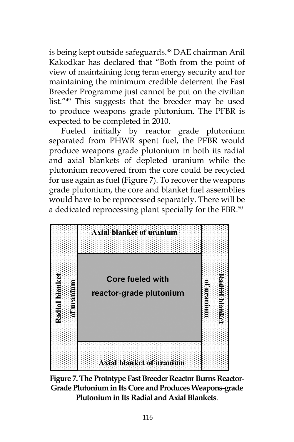is being kept outside safeguards.<sup>48</sup> DAE chairman Anil Kakodkar has declared that "Both from the point of view of maintaining long term energy security and for maintaining the minimum credible deterrent the Fast Breeder Programme just cannot be put on the civilian list."49 This suggests that the breeder may be used to produce weapons grade plutonium. The PFBR is expected to be completed in 2010.

Fueled initially by reactor grade plutonium separated from PHWR spent fuel, the PFBR would produce weapons grade plutonium in both its radial and axial blankets of depleted uranium while the plutonium recovered from the core could be recycled for use again as fuel (Figure 7). To recover the weapons grade plutonium, the core and blanket fuel assemblies would have to be reprocessed separately. There will be a dedicated reprocessing plant specially for the FBR.<sup>50</sup>



**Figure 7. The Prototype Fast Breeder Reactor Burns Reactor-Grade Plutonium in Its Core and Produces Weapons-grade Plutonium in Its Radial and Axial Blankets**.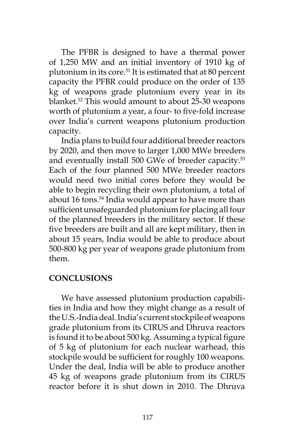The PFBR is designed to have a thermal power of 1,250 MW and an initial inventory of 1910 kg of plutonium in its core.<sup>51</sup> It is estimated that at 80 percent capacity the PFBR could produce on the order of 135 kg of weapons grade plutonium every year in its blanket.<sup>52</sup> This would amount to about 25-30 weapons worth of plutonium a year, a four- to five-fold increase over India's current weapons plutonium production capacity.

India plans to build four additional breeder reactors by 2020, and then move to larger 1,000 MWe breeders and eventually install 500 GWe of breeder capacity.<sup>53</sup> Each of the four planned 500 MWe breeder reactors would need two initial cores before they would be able to begin recycling their own plutonium, a total of about 16 tons.<sup>54</sup> India would appear to have more than sufficient unsafeguarded plutonium for placing all four of the planned breeders in the military sector. If these five breeders are built and all are kept military, then in about 15 years, India would be able to produce about 500-800 kg per year of weapons grade plutonium from them.

#### **CONCLUSIONS**

We have assessed plutonium production capabilities in India and how they might change as a result of the U.S.-India deal. India's current stockpile of weapons grade plutonium from its CIRUS and Dhruva reactors is found it to be about 500 kg. Assuming a typical figure of 5 kg of plutonium for each nuclear warhead, this stockpile would be sufficient for roughly 100 weapons. Under the deal, India will be able to produce another 45 kg of weapons grade plutonium from its CIRUS reactor before it is shut down in 2010. The Dhruva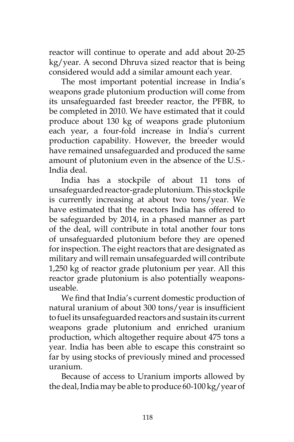reactor will continue to operate and add about 20-25 kg/year. A second Dhruva sized reactor that is being considered would add a similar amount each year.

The most important potential increase in India's weapons grade plutonium production will come from its unsafeguarded fast breeder reactor, the PFBR, to be completed in 2010. We have estimated that it could produce about 130 kg of weapons grade plutonium each year, a four-fold increase in India's current production capability. However, the breeder would have remained unsafeguarded and produced the same amount of plutonium even in the absence of the U.S.- India deal.

India has a stockpile of about 11 tons of unsafeguarded reactor-grade plutonium. This stockpile is currently increasing at about two tons/year. We have estimated that the reactors India has offered to be safeguarded by 2014, in a phased manner as part of the deal, will contribute in total another four tons of unsafeguarded plutonium before they are opened for inspection. The eight reactors that are designated as military and will remain unsafeguarded will contribute 1,250 kg of reactor grade plutonium per year. All this reactor grade plutonium is also potentially weaponsuseable.

We find that India's current domestic production of natural uranium of about 300 tons/year is insufficient to fuel its unsafeguarded reactors and sustain its current weapons grade plutonium and enriched uranium production, which altogether require about 475 tons a year. India has been able to escape this constraint so far by using stocks of previously mined and processed uranium.

Because of access to Uranium imports allowed by the deal, India may be able to produce 60-100 kg/year of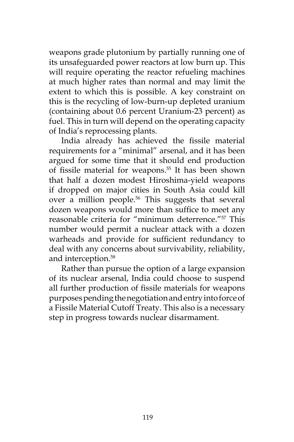weapons grade plutonium by partially running one of its unsafeguarded power reactors at low burn up. This will require operating the reactor refueling machines at much higher rates than normal and may limit the extent to which this is possible. A key constraint on this is the recycling of low-burn-up depleted uranium (containing about 0.6 percent Uranium-23 percent) as fuel. This in turn will depend on the operating capacity of India's reprocessing plants.

India already has achieved the fissile material requirements for a "minimal" arsenal, and it has been argued for some time that it should end production of fissile material for weapons.<sup>55</sup> It has been shown that half a dozen modest Hiroshima-yield weapons if dropped on major cities in South Asia could kill over a million people.<sup>56</sup> This suggests that several dozen weapons would more than suffice to meet any reasonable criteria for "minimum deterrence."57 This number would permit a nuclear attack with a dozen warheads and provide for sufficient redundancy to deal with any concerns about survivability, reliability, and interception.58

Rather than pursue the option of a large expansion of its nuclear arsenal, India could choose to suspend all further production of fissile materials for weapons purposes pending the negotiation and entry into force of a Fissile Material Cutoff Treaty. This also is a necessary step in progress towards nuclear disarmament.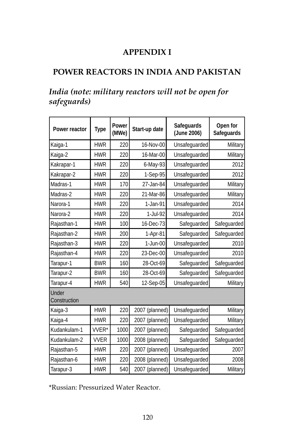## **APPENDIX I**

## **POWER REACTORS IN INDIA AND PAKISTAN**

# *India (note: military reactors will not be open for safeguards)*

| Power reactor         | <b>Type</b> | Power<br>(MWe) | Start-up date  | Safeguards<br>(June 2006) | Open for<br>Safeguards |
|-----------------------|-------------|----------------|----------------|---------------------------|------------------------|
| Kaiga-1               | <b>HWR</b>  | 220            | 16-Nov-00      | Unsafeguarded             | Military               |
| Kaiga-2               | <b>HWR</b>  | 220            | 16-Mar-00      | Unsafeguarded             | Military               |
| Kakrapar-1            | <b>HWR</b>  | 220            | 6-May-93       | Unsafeguarded             | 2012                   |
| Kakrapar-2            | <b>HWR</b>  | 220            | 1-Sep-95       | Unsafeguarded             | 2012                   |
| Madras-1              | <b>HWR</b>  | 170            | 27-Jan-84      | Unsafeguarded             | Military               |
| Madras-2              | <b>HWR</b>  | 220            | 21-Mar-86      | Unsafeguarded             | Military               |
| Narora-1              | <b>HWR</b>  | 220            | 1-Jan-91       | Unsafeguarded             | 2014                   |
| Narora-2              | <b>HWR</b>  | 220            | 1-Jul-92       | Unsafeguarded             | 2014                   |
| Rajasthan-1           | <b>HWR</b>  | 100            | 16-Dec-73      | Safeguarded               | Safeguarded            |
| Rajasthan-2           | <b>HWR</b>  | 200            | 1-Apr-81       | Safeguarded               | Safeguarded            |
| Rajasthan-3           | <b>HWR</b>  | 220            | 1-Jun-00       | Unsafeguarded             | 2010                   |
| Rajasthan-4           | <b>HWR</b>  | 220            | 23-Dec-00      | Unsafeguarded             | 2010                   |
| Tarapur-1             | <b>BWR</b>  | 160            | 28-Oct-69      | Safeguarded               | Safeguarded            |
| Tarapur-2             | <b>BWR</b>  | 160            | 28-Oct-69      | Safeguarded               | Safeguarded            |
| Tarapur-4             | <b>HWR</b>  | 540            | 12-Sep-05      | Unsafeguarded             | Military               |
| Under<br>Construction |             |                |                |                           |                        |
| Kaiga-3               | <b>HWR</b>  | 220            | 2007 (planned) | Unsafeguarded             | Military               |
| Kaiga-4               | <b>HWR</b>  | 220            | 2007 (planned) | Unsafeguarded             | Military               |
| Kudankulam-1          | VVER*       | 1000           | 2007 (planned) | Safeguarded               | Safeguarded            |
| Kudankulam-2          | <b>VVER</b> | 1000           | 2008 (planned) | Safeguarded               | Safeguarded            |
| Rajasthan-5           | <b>HWR</b>  | 220            | 2007 (planned) | Unsafeguarded             | 2007                   |
| Rajasthan-6           | <b>HWR</b>  | 220            | 2008 (planned) | Unsafeguarded             | 2008                   |
| Tarapur-3             | <b>HWR</b>  | 540            | 2007 (planned) | Unsafeguarded             | <b>Military</b>        |

\*Russian: Pressurized Water Reactor.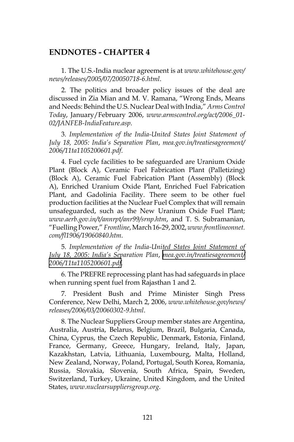#### **ENDNOTES - CHAPTER 4**

1. The U.S.-India nuclear agreement is at *www.whitehouse.gov/ news/releases/2005/07/20050718-6.html*.

2. The politics and broader policy issues of the deal are discussed in Zia Mian and M. V. Ramana, "Wrong Ends, Means and Needs: Behind the U.S. Nuclear Deal with India," *Arms Control Today*, January/February 2006, *www.armscontrol.org/act/2006\_01- 02/JANFEB-IndiaFeature.asp*.

3. *Implementation of the India-United States Joint Statement of July 18, 2005: India's Separation Plan*, *mea.gov.in/treatiesagreement/ 2006/11ta1105200601.pdf*.

4. Fuel cycle facilities to be safeguarded are Uranium Oxide Plant (Block A), Ceramic Fuel Fabrication Plant (Palletizing) (Block A), Ceramic Fuel Fabrication Plant (Assembly) (Block A), Enriched Uranium Oxide Plant, Enriched Fuel Fabrication Plant, and Gadolinia Facility. There seem to be other fuel production facilities at the Nuclear Fuel Complex that will remain unsafeguarded, such as the New Uranium Oxide Fuel Plant; *www.aerb.gov.in/t/annrpt/anr99/srnp.htm*, and T. S. Subramanian, "Fuelling Power," *Frontline*, March 16-29, 2002, *www.frontlineonnet. com/fl1906/19060840.htm*.

5. *Implementation of the India-United States Joint Statement of July 18, 2005: India's Separation Plan*, *[mea.gov.in/treatiesagreement/](http://mea.gov.in/treatiesagreement/2006/11ta1105200601.pdf) [2006/11ta1105200601.pdf](http://mea.gov.in/treatiesagreement/2006/11ta1105200601.pdf)*.

6. The PREFRE reprocessing plant has had safeguards in place when running spent fuel from Rajasthan 1 and 2.

7. President Bush and Prime Minister Singh Press Conference, New Delhi, March 2, 2006, *www.whitehouse.gov/news/ releases/2006/03/20060302-9.html*.

8. The Nuclear Suppliers Group member states are Argentina, Australia, Austria, Belarus, Belgium, Brazil, Bulgaria, Canada, China, Cyprus, the Czech Republic, Denmark, Estonia, Finland, France, Germany, Greece, Hungary, Ireland, Italy, Japan, Kazakhstan, Latvia, Lithuania, Luxembourg, Malta, Holland, New Zealand, Norway, Poland, Portugal, South Korea, Romania, Russia, Slovakia, Slovenia, South Africa, Spain, Sweden, Switzerland, Turkey, Ukraine, United Kingdom, and the United States, *www.nuclearsuppliersgroup.org*.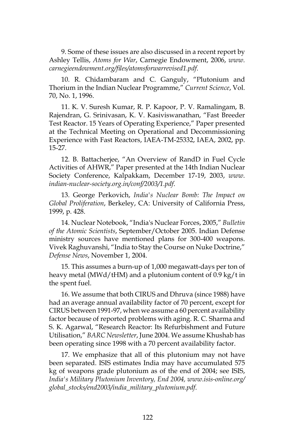9. Some of these issues are also discussed in a recent report by Ashley Tellis, *Atoms for War*, Carnegie Endowment, 2006, *www. carnegieendowment.org/files/atomsforwarrevised1.pdf*.

10. R. Chidambaram and C. Ganguly, "Plutonium and Thorium in the Indian Nuclear Programme," *Current Science*, Vol. 70, No. 1, 1996.

11. K. V. Suresh Kumar, R. P. Kapoor, P. V. Ramalingam, B. Rajendran, G. Srinivasan, K. V. Kasiviswanathan, "Fast Breeder Test Reactor. 15 Years of Operating Experience," Paper presented at the Technical Meeting on Operational and Decommissioning Experience with Fast Reactors, IAEA-TM-25332, IAEA, 2002, pp. 15-27.

12. B. Battacherjee, "An Overview of RandD in Fuel Cycle Activities of AHWR," Paper presented at the 14th Indian Nuclear Society Conference, Kalpakkam, December 17-19, 2003, *www. indian-nuclear-society.org.in/conf/2003/1.pdf*.

13. George Perkovich, *India's Nuclear Bomb: The Impact on Global Proliferation*, Berkeley, CA: University of California Press, 1999, p. 428.

14. Nuclear Notebook, "India's Nuclear Forces, 2005," *Bulletin of the Atomic Scientists*, September/October 2005. Indian Defense ministry sources have mentioned plans for 300-400 weapons. Vivek Raghuvanshi, "India to Stay the Course on Nuke Doctrine," *Defense News*, November 1, 2004.

15. This assumes a burn-up of 1,000 megawatt-days per ton of heavy metal (MWd/tHM) and a plutonium content of 0.9 kg/t in the spent fuel.

16. We assume that both CIRUS and Dhruva (since 1988) have had an average annual availability factor of 70 percent, except for CIRUS between 1991-97, when we assume a 60 percent availability factor because of reported problems with aging. R. C. Sharma and S. K. Agarwal, "Research Reactor: Its Refurbishment and Future Utilisation," *BARC Newsletter*, June 2004. We assume Khushab has been operating since 1998 with a 70 percent availability factor.

17. We emphasize that all of this plutonium may not have been separated. ISIS estimates India may have accumulated 575 kg of weapons grade plutonium as of the end of 2004; see ISIS, *India's Military Plutonium Inventory, End 2004, www.isis-online.org/ global\_stocks/end2003/india\_military\_plutonium.pdf*.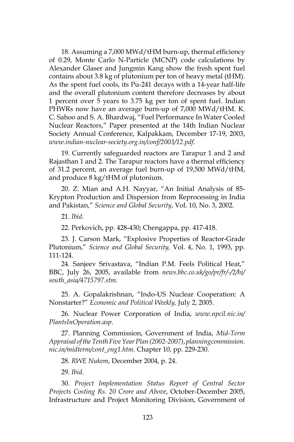18. Assuming a 7,000 MWd/tHM burn-up, thermal efficiency of 0.29, Monte Carlo N-Particle (MCNP) code calculations by Alexander Glaser and Jungmin Kang show the fresh spent fuel contains about 3.8 kg of plutonium per ton of heavy metal (tHM). As the spent fuel cools, its Pu-241 decays with a 14-year half-life and the overall plutonium content therefore decreases by about 1 percent over 5 years to 3.75 kg per ton of spent fuel. Indian PHWRs now have an average burn-up of 7,000 MWd/tHM. K. C. Sahoo and S. A. Bhardwaj, "Fuel Performance In Water Cooled Nuclear Reactors," Paper presented at the 14th Indian Nuclear Society Annual Conference, Kalpakkam, December 17-19, 2003, *www.indian-nuclear-society.org.in/conf/2003/12.pdf*.

19. Currently safeguarded reactors are Tarapur 1 and 2 and Rajasthan 1 and 2. The Tarapur reactors have a thermal efficiency of 31.2 percent, an average fuel burn-up of 19,500 MWd/tHM, and produce 8 kg/tHM of plutonium.

20. Z. Mian and A.H. Nayyar, "An Initial Analysis of 85- Krypton Production and Dispersion from Reprocessing in India and Pakistan," *Science and Global Security*, Vol. 10, No. 3, 2002.

21. *Ibid*.

22. Perkovich, pp. 428-430; Chengappa, pp. 417-418.

23. J. Carson Mark, "Explosive Properties of Reactor-Grade Plutonium," *Science and Global Security,* Vol. 4, No. 1, 1993, pp. 111-124.

24. Sanjeev Srivastava, "Indian P.M. Feels Political Heat," BBC, July 26, 2005, available from *news.bbc.co.uk/go/pr/fr/-/2/hi/ south\_asia/4715797.stm.*

25. A. Gopalakrishnan, "Indo-US Nuclear Cooperation: A Nonstarter?" *Economic and Political Weekly,* July 2, 2005.

26. Nuclear Power Corporation of India, *www.npcil.nic.in/ PlantsInOperation.asp*.

27. Planning Commission, Government of India, *Mid-Term Appraisal of the Tenth Five Year Plan (2002-2007)*, *planningcommission. nic.in/midterm/cont\_eng1.htm*. Chapter 10, pp. 229-230.

28. *RWE Nukem*, December 2004, p. 24.

29. *Ibid*.

30. *Project Implementation Status Report of Central Sector Projects Costing Rs. 20 Crore and Above*, October-December 2005, Infrastructure and Project Monitoring Division, Government of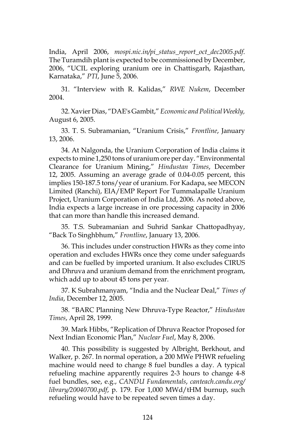India, April 2006, *mospi.nic.in/pi\_status\_report\_oct\_dec2005.pdf*. The Turamdih plant is expected to be commissioned by December, 2006, "UCIL exploring uranium ore in Chattisgarh, Rajasthan, Karnataka," *PTI*, June 5, 2006.

31. "Interview with R. Kalidas," *RWE Nukem*, December 2004.

32. Xavier Dias, "DAE's Gambit," *Economic and Political Weekly,* August 6, 2005.

33. T. S. Subramanian, "Uranium Crisis," *Frontline*, January 13, 2006.

34. At Nalgonda, the Uranium Corporation of India claims it expects to mine 1,250 tons of uranium ore per day. "Environmental Clearance for Uranium Mining," *Hindustan Times*, December 12, 2005. Assuming an average grade of 0.04-0.05 percent, this implies 150-187.5 tons/year of uranium. For Kadapa, see MECON Limited (Ranchi), EIA/EMP Report For Tummalapalle Uranium Project, Uranium Corporation of India Ltd, 2006. As noted above, India expects a large increase in ore processing capacity in 2006 that can more than handle this increased demand.

35. T.S. Subramanian and Suhrid Sankar Chattopadhyay, "Back To Singhbhum," *Frontline*, January 13, 2006.

36. This includes under construction HWRs as they come into operation and excludes HWRs once they come under safeguards and can be fuelled by imported uranium. It also excludes CIRUS and Dhruva and uranium demand from the enrichment program, which add up to about 45 tons per year.

37. K Subrahmanyam, "India and the Nuclear Deal," *Times of India*, December 12, 2005.

38. "BARC Planning New Dhruva-Type Reactor," *Hindustan Times*, April 28, 1999.

39. Mark Hibbs, "Replication of Dhruva Reactor Proposed for Next Indian Economic Plan," *Nuclear Fuel*, May 8, 2006.

40. This possibility is suggested by Albright, Berkhout, and Walker, p. 267. In normal operation, a 200 MWe PHWR refueling machine would need to change 8 fuel bundles a day. A typical refueling machine apparently requires 2-3 hours to change 4-8 fuel bundles, see, e.g., *CANDU Fundamentals*, *canteach.candu.org/ library/20040700.pdf*, p. 179. For 1,000 MWd/tHM burnup, such refueling would have to be repeated seven times a day.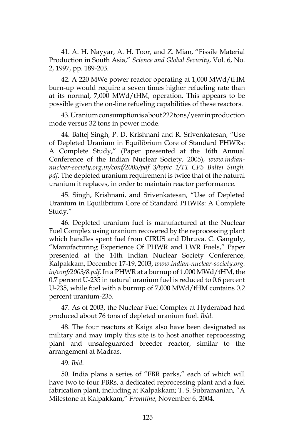41. A. H. Nayyar, A. H. Toor, and Z. Mian, "Fissile Material Production in South Asia," *Science and Global Security*, Vol. 6, No. 2, 1997, pp. 189-203.

42. A 220 MWe power reactor operating at 1,000 MWd/tHM burn-up would require a seven times higher refueling rate than at its normal, 7,000 MWd/tHM, operation. This appears to be possible given the on-line refueling capabilities of these reactors.

43. Uranium consumption is about 222 tons/year in production mode versus 32 tons in power mode.

44. Baltej Singh, P. D. Krishnani and R. Srivenkatesan, "Use of Depleted Uranium in Equilibrium Core of Standard PHWRs: A Complete Study," (Paper presented at the 16th Annual Conference of the Indian Nuclear Society, 2005), *www.indiannuclear-society.org.in/conf/2005/pdf\_3/topic\_1/T1\_CP5\_Baltej\_Singh. pdf*. The depleted uranium requirement is twice that of the natural uranium it replaces, in order to maintain reactor performance.

45. Singh, Krishnani, and Srivenkatesan, "Use of Depleted Uranium in Equilibrium Core of Standard PHWRs: A Complete Study."

46. Depleted uranium fuel is manufactured at the Nuclear Fuel Complex using uranium recovered by the reprocessing plant which handles spent fuel from CIRUS and Dhruva. C. Ganguly, "Manufacturing Experience Of PHWR and LWR Fuels," Paper presented at the 14th Indian Nuclear Society Conference, Kalpakkam, December 17-19, 2003, *www.indian-nuclear-society.org. in/conf/2003/8.pdf*. In a PHWR at a burnup of 1,000 MWd/tHM, the 0.7 percent U-235 in natural uranium fuel is reduced to 0.6 percent U-235, while fuel with a burnup of 7,000 MWd/tHM contains 0.2 percent uranium-235.

47. As of 2003, the Nuclear Fuel Complex at Hyderabad had produced about 76 tons of depleted uranium fuel. *Ibid*.

48. The four reactors at Kaiga also have been designated as military and may imply this site is to host another reprocessing plant and unsafeguarded breeder reactor, similar to the arrangement at Madras.

#### 49. *Ibid*.

50. India plans a series of "FBR parks," each of which will have two to four FBRs, a dedicated reprocessing plant and a fuel fabrication plant, including at Kalpakkam; T. S. Subramanian, "A Milestone at Kalpakkam," *Frontline*, November 6, 2004.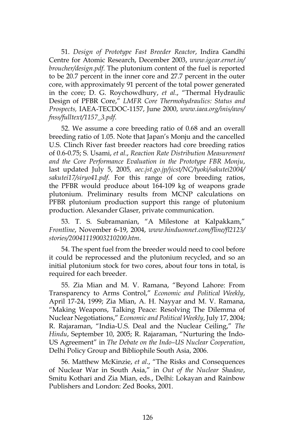51. *Design of Prototype Fast Breeder Reactor*, Indira Gandhi Centre for Atomic Research, December 2003, *www.igcar.ernet.in/ broucher/design.pdf*. The plutonium content of the fuel is reported to be 20.7 percent in the inner core and 27.7 percent in the outer core, with approximately 91 percent of the total power generated in the core; D. G. Roychowdhury, *et al*., "Thermal Hydraulic Design of PFBR Core," *LMFR Core Thermohydraulics: Status and Prospects,* IAEA-TECDOC-1157, June 2000, *www.iaea.org/inis/aws/ fnss/fulltext/1157\_3.pdf*.

52. We assume a core breeding ratio of 0.68 and an overall breeding ratio of 1.05. Note that Japan's Monju and the cancelled U.S. Clinch River fast breeder reactors had core breeding ratios of 0.6-0.75; S. Usami, *et al*., *Reaction Rate Distribution Measurement and the Core Performance Evaluation in the Prototype FBR Monju*, last updated July 5, 2005*, aec.jst.go.jp/jicst/NC/tyoki/sakutei2004/ sakutei17/siryo41.pdf*. For this range of core breeding ratios, the PFBR would produce about 164-109 kg of weapons grade plutonium. Preliminary results from MCNP calculations on PFBR plutonium production support this range of plutonium production. Alexander Glaser, private communication.

53. T. S. Subramanian, "A Milestone at Kalpakkam," *Frontline*, November 6-19, 2004, *www.hinduonnet.com/fline/fl2123/ stories/20041119003210200.htm*.

54. The spent fuel from the breeder would need to cool before it could be reprocessed and the plutonium recycled, and so an initial plutonium stock for two cores, about four tons in total, is required for each breeder.

55. Zia Mian and M. V. Ramana, "Beyond Lahore: From Transparency to Arms Control," *Economic and Political Weekly*, April 17-24, 1999; Zia Mian, A. H. Nayyar and M. V. Ramana, "Making Weapons, Talking Peace: Resolving The Dilemma of Nuclear Negotiations," *Economic and Political Weekly*, July 17, 2004; R. Rajaraman, "India-U.S. Deal and the Nuclear Ceiling," *The Hindu*, September 10, 2005; R. Rajaraman, "Nurturing the Indo-US Agreement" in *The Debate on the Indo–US Nuclear Cooperation*, Delhi Policy Group and Bibliophile South Asia, 2006.

56. Matthew McKinzie, *et al*., "The Risks and Consequences of Nuclear War in South Asia," in *Out of the Nuclear Shadow*, Smitu Kothari and Zia Mian, eds., Delhi: Lokayan and Rainbow Publishers and London: Zed Books, 2001.